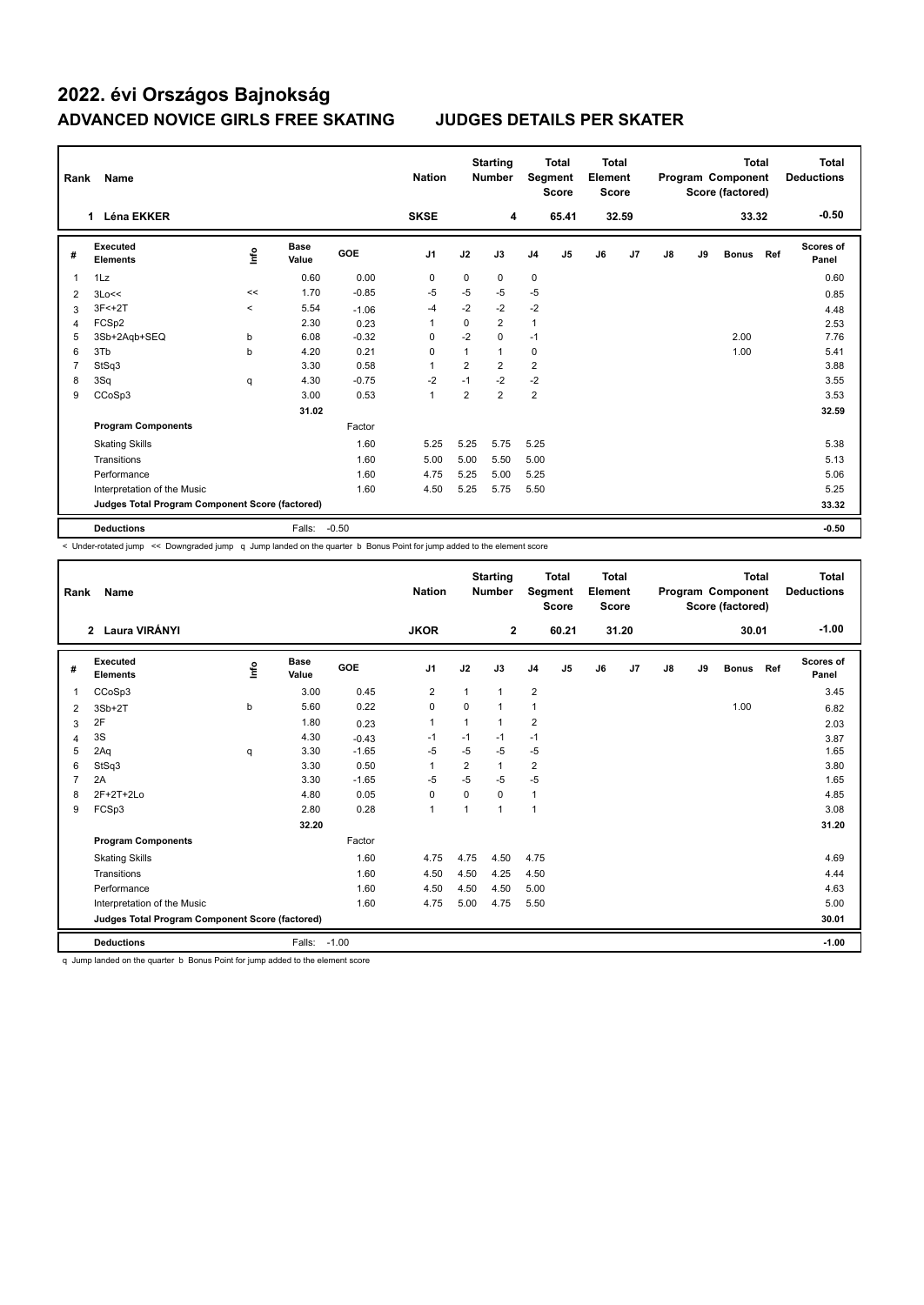## **2022. évi Országos Bajnokság ADVANCED NOVICE GIRLS FREE SKATING JUDGES DETAILS PER SKATER**

| Rank<br>Name                                    |                                    |          |                      |            | <b>Nation</b>  |                | <b>Starting</b><br><b>Number</b> |                | <b>Total</b><br>Segment<br><b>Score</b> |    | <b>Total</b><br>Element<br><b>Score</b> |    | Program Component<br>Score (factored) | <b>Total</b> | <b>Total</b><br><b>Deductions</b> |                    |
|-------------------------------------------------|------------------------------------|----------|----------------------|------------|----------------|----------------|----------------------------------|----------------|-----------------------------------------|----|-----------------------------------------|----|---------------------------------------|--------------|-----------------------------------|--------------------|
|                                                 | <b>Léna EKKER</b>                  |          |                      |            | <b>SKSE</b>    |                | 4                                |                | 65.41                                   |    | 32.59                                   |    |                                       | 33.32        |                                   | $-0.50$            |
| #                                               | <b>Executed</b><br><b>Elements</b> | lnfo     | <b>Base</b><br>Value | <b>GOE</b> | J <sub>1</sub> | J2             | J3                               | J <sub>4</sub> | J <sub>5</sub>                          | J6 | J <sub>7</sub>                          | J8 | J9                                    | <b>Bonus</b> | Ref                               | Scores of<br>Panel |
| 1                                               | 1Lz                                |          | 0.60                 | 0.00       | 0              | 0              | $\mathbf 0$                      | $\mathbf 0$    |                                         |    |                                         |    |                                       |              |                                   | 0.60               |
| $\overline{2}$                                  | 3Lo<<                              | <<       | 1.70                 | $-0.85$    | $-5$           | $-5$           | $-5$                             | $-5$           |                                         |    |                                         |    |                                       |              |                                   | 0.85               |
| 3                                               | $3F < +2T$                         | $\hat{}$ | 5.54                 | $-1.06$    | $-4$           | $-2$           | $-2$                             | $-2$           |                                         |    |                                         |    |                                       |              |                                   | 4.48               |
| $\overline{4}$                                  | FCSp2                              |          | 2.30                 | 0.23       | 1              | 0              | $\overline{2}$                   | $\mathbf{1}$   |                                         |    |                                         |    |                                       |              |                                   | 2.53               |
| 5                                               | 3Sb+2Aqb+SEQ                       | þ        | 6.08                 | $-0.32$    | $\Omega$       | $-2$           | $\mathbf 0$                      | $-1$           |                                         |    |                                         |    |                                       | 2.00         |                                   | 7.76               |
| 6                                               | 3Tb                                | b        | 4.20                 | 0.21       | $\Omega$       | 1              | $\mathbf{1}$                     | $\mathbf 0$    |                                         |    |                                         |    |                                       | 1.00         |                                   | 5.41               |
| 7                                               | StSq3                              |          | 3.30                 | 0.58       | 1              | 2              | $\overline{2}$                   | $\overline{2}$ |                                         |    |                                         |    |                                       |              |                                   | 3.88               |
| 8                                               | 3Sq                                | q        | 4.30                 | $-0.75$    | $-2$           | $-1$           | $-2$                             | $-2$           |                                         |    |                                         |    |                                       |              |                                   | 3.55               |
| 9                                               | CCoSp3                             |          | 3.00                 | 0.53       | 1              | $\overline{2}$ | $\overline{2}$                   | $\overline{2}$ |                                         |    |                                         |    |                                       |              |                                   | 3.53               |
|                                                 |                                    |          | 31.02                |            |                |                |                                  |                |                                         |    |                                         |    |                                       |              |                                   | 32.59              |
|                                                 | <b>Program Components</b>          |          |                      | Factor     |                |                |                                  |                |                                         |    |                                         |    |                                       |              |                                   |                    |
|                                                 | <b>Skating Skills</b>              |          |                      | 1.60       | 5.25           | 5.25           | 5.75                             | 5.25           |                                         |    |                                         |    |                                       |              |                                   | 5.38               |
|                                                 | Transitions                        |          |                      | 1.60       | 5.00           | 5.00           | 5.50                             | 5.00           |                                         |    |                                         |    |                                       |              |                                   | 5.13               |
|                                                 | Performance                        |          |                      | 1.60       | 4.75           | 5.25           | 5.00                             | 5.25           |                                         |    |                                         |    |                                       |              |                                   | 5.06               |
|                                                 | Interpretation of the Music        |          |                      | 1.60       | 4.50           | 5.25           | 5.75                             | 5.50           |                                         |    |                                         |    |                                       |              |                                   | 5.25               |
| Judges Total Program Component Score (factored) |                                    |          |                      |            |                |                |                                  |                |                                         |    | 33.32                                   |    |                                       |              |                                   |                    |
|                                                 | <b>Deductions</b>                  |          | Falls:               | $-0.50$    |                |                |                                  |                |                                         |    |                                         |    |                                       |              |                                   | $-0.50$            |

< Under-rotated jump << Downgraded jump q Jump landed on the quarter b Bonus Point for jump added to the element score

| Rank<br><b>Name</b> |                                                 |      |                      | <b>Nation</b> |                | <b>Starting</b><br><b>Number</b><br>Segment |              | <b>Total</b><br><b>Score</b> | <b>Total</b><br>Element<br>Score |    |                | Program Component<br>Score (factored) | <b>Total</b> | Total<br><b>Deductions</b> |     |                           |
|---------------------|-------------------------------------------------|------|----------------------|---------------|----------------|---------------------------------------------|--------------|------------------------------|----------------------------------|----|----------------|---------------------------------------|--------------|----------------------------|-----|---------------------------|
|                     | 2 Laura VIRÁNYI                                 |      |                      |               | <b>JKOR</b>    |                                             | $\mathbf{2}$ |                              | 60.21                            |    | 31.20          |                                       |              | 30.01                      |     | $-1.00$                   |
| #                   | Executed<br><b>Elements</b>                     | lnfo | <b>Base</b><br>Value | <b>GOE</b>    | J <sub>1</sub> | J2                                          | J3           | J <sub>4</sub>               | J <sub>5</sub>                   | J6 | J <sub>7</sub> | J8                                    | J9           | <b>Bonus</b>               | Ref | <b>Scores of</b><br>Panel |
| 1                   | CCoSp3                                          |      | 3.00                 | 0.45          | $\overline{2}$ | $\mathbf{1}$                                | 1            | $\overline{2}$               |                                  |    |                |                                       |              |                            |     | 3.45                      |
| 2                   | $3Sb+2T$                                        | b    | 5.60                 | 0.22          | 0              | 0                                           | 1            | $\mathbf{1}$                 |                                  |    |                |                                       |              | 1.00                       |     | 6.82                      |
| 3                   | 2F                                              |      | 1.80                 | 0.23          | $\overline{1}$ | 1                                           | 1            | $\overline{2}$               |                                  |    |                |                                       |              |                            |     | 2.03                      |
| 4                   | 3S                                              |      | 4.30                 | $-0.43$       | $-1$           | $-1$                                        | $-1$         | $-1$                         |                                  |    |                |                                       |              |                            |     | 3.87                      |
| 5                   | 2Aq                                             | q    | 3.30                 | $-1.65$       | $-5$           | $-5$                                        | $-5$         | $-5$                         |                                  |    |                |                                       |              |                            |     | 1.65                      |
| 6                   | StSq3                                           |      | 3.30                 | 0.50          | $\mathbf{1}$   | $\overline{2}$                              | $\mathbf{1}$ | $\overline{2}$               |                                  |    |                |                                       |              |                            |     | 3.80                      |
| $\overline{7}$      | 2A                                              |      | 3.30                 | $-1.65$       | $-5$           | $-5$                                        | $-5$         | $-5$                         |                                  |    |                |                                       |              |                            |     | 1.65                      |
| 8                   | 2F+2T+2Lo                                       |      | 4.80                 | 0.05          | 0              | $\Omega$                                    | $\Omega$     | $\mathbf{1}$                 |                                  |    |                |                                       |              |                            |     | 4.85                      |
| 9                   | FCSp3                                           |      | 2.80                 | 0.28          | $\mathbf{1}$   | 1                                           | 1            | $\overline{1}$               |                                  |    |                |                                       |              |                            |     | 3.08                      |
|                     |                                                 |      | 32.20                |               |                |                                             |              |                              |                                  |    |                |                                       |              |                            |     | 31.20                     |
|                     | <b>Program Components</b>                       |      |                      | Factor        |                |                                             |              |                              |                                  |    |                |                                       |              |                            |     |                           |
|                     | <b>Skating Skills</b>                           |      |                      | 1.60          | 4.75           | 4.75                                        | 4.50         | 4.75                         |                                  |    |                |                                       |              |                            |     | 4.69                      |
|                     | Transitions                                     |      |                      | 1.60          | 4.50           | 4.50                                        | 4.25         | 4.50                         |                                  |    |                |                                       |              |                            |     | 4.44                      |
|                     | Performance                                     |      |                      | 1.60          | 4.50           | 4.50                                        | 4.50         | 5.00                         |                                  |    |                |                                       |              |                            |     | 4.63                      |
|                     | Interpretation of the Music                     |      |                      | 1.60          | 4.75           | 5.00                                        | 4.75         | 5.50                         |                                  |    |                |                                       |              |                            |     | 5.00                      |
|                     | Judges Total Program Component Score (factored) |      |                      |               |                |                                             |              |                              |                                  |    |                |                                       |              |                            |     | 30.01                     |
|                     | <b>Deductions</b>                               |      | Falls:               | $-1.00$       |                |                                             |              |                              |                                  |    |                |                                       |              |                            |     | $-1.00$                   |

q Jump landed on the quarter b Bonus Point for jump added to the element score